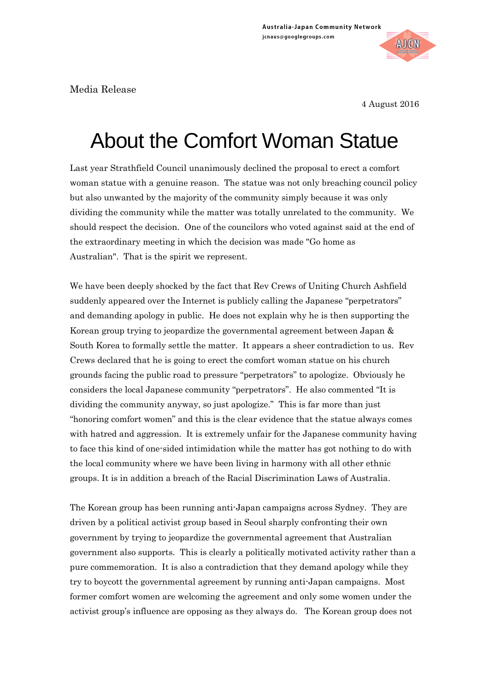Media Release

4 August 2016

**AICN** 

## About the Comfort Woman Statue

Last year Strathfield Council unanimously declined the proposal to erect a comfort woman statue with a genuine reason. The statue was not only breaching council policy but also unwanted by the majority of the community simply because it was only dividing the community while the matter was totally unrelated to the community. We should respect the decision. One of the councilors who voted against said at the end of the extraordinary meeting in which the decision was made "Go home as Australian". That is the spirit we represent.

We have been deeply shocked by the fact that Rev Crews of Uniting Church Ashfield suddenly appeared over the Internet is publicly calling the Japanese "perpetrators" and demanding apology in public. He does not explain why he is then supporting the Korean group trying to jeopardize the governmental agreement between Japan & South Korea to formally settle the matter. It appears a sheer contradiction to us. Rev Crews declared that he is going to erect the comfort woman statue on his church grounds facing the public road to pressure "perpetrators" to apologize. Obviously he considers the local Japanese community "perpetrators". He also commented "It is dividing the community anyway, so just apologize." This is far more than just "honoring comfort women" and this is the clear evidence that the statue always comes with hatred and aggression. It is extremely unfair for the Japanese community having to face this kind of one-sided intimidation while the matter has got nothing to do with the local community where we have been living in harmony with all other ethnic groups. It is in addition a breach of the Racial Discrimination Laws of Australia.

The Korean group has been running anti-Japan campaigns across Sydney. They are driven by a political activist group based in Seoul sharply confronting their own government by trying to jeopardize the governmental agreement that Australian government also supports. This is clearly a politically motivated activity rather than a pure commemoration. It is also a contradiction that they demand apology while they try to boycott the governmental agreement by running anti-Japan campaigns. Most former comfort women are welcoming the agreement and only some women under the activist group's influence are opposing as they always do. The Korean group does not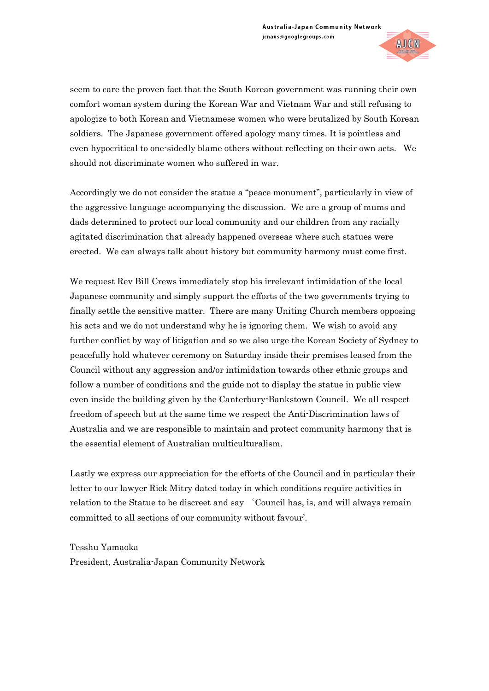

seem to care the proven fact that the South Korean government was running their own comfort woman system during the Korean War and Vietnam War and still refusing to apologize to both Korean and Vietnamese women who were brutalized by South Korean soldiers. The Japanese government offered apology many times. It is pointless and even hypocritical to one-sidedly blame others without reflecting on their own acts. We should not discriminate women who suffered in war.

Accordingly we do not consider the statue a "peace monument", particularly in view of the aggressive language accompanying the discussion. We are a group of mums and dads determined to protect our local community and our children from any racially agitated discrimination that already happened overseas where such statues were erected. We can always talk about history but community harmony must come first.

We request Rev Bill Crews immediately stop his irrelevant intimidation of the local Japanese community and simply support the efforts of the two governments trying to finally settle the sensitive matter. There are many Uniting Church members opposing his acts and we do not understand why he is ignoring them. We wish to avoid any further conflict by way of litigation and so we also urge the Korean Society of Sydney to peacefully hold whatever ceremony on Saturday inside their premises leased from the Council without any aggression and/or intimidation towards other ethnic groups and follow a number of conditions and the guide not to display the statue in public view even inside the building given by the Canterbury-Bankstown Council. We all respect freedom of speech but at the same time we respect the Anti-Discrimination laws of Australia and we are responsible to maintain and protect community harmony that is the essential element of Australian multiculturalism.

Lastly we express our appreciation for the efforts of the Council and in particular their letter to our lawyer Rick Mitry dated today in which conditions require activities in relation to the Statue to be discreet and say 'Council has, is, and will always remain committed to all sections of our community without favour'.

Tesshu Yamaoka President, Australia-Japan Community Network